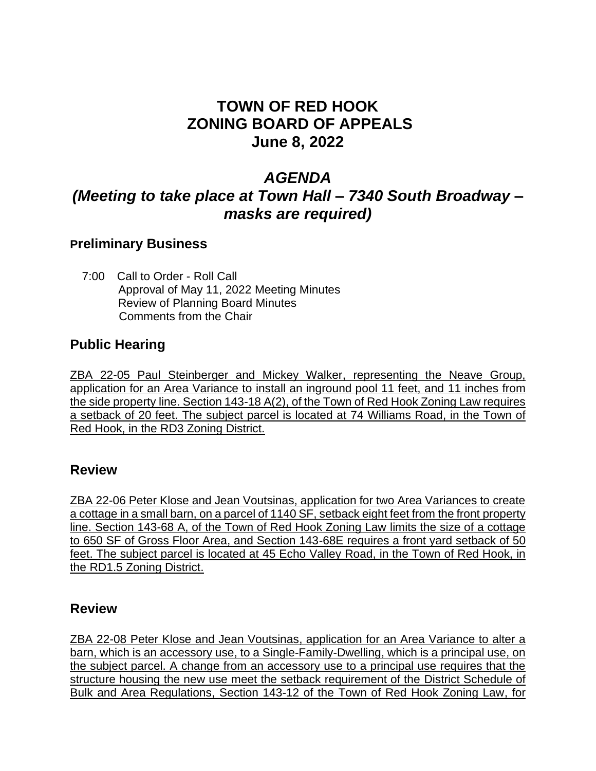# **TOWN OF RED HOOK ZONING BOARD OF APPEALS June 8, 2022**

## *AGENDA*

# *(Meeting to take place at Town Hall – 7340 South Broadway – masks are required)*

## **Preliminary Business**

 7:00 Call to Order - Roll Call Approval of May 11, 2022 Meeting Minutes Review of Planning Board Minutes Comments from the Chair

## **Public Hearing**

ZBA 22-05 Paul Steinberger and Mickey Walker, representing the Neave Group, application for an Area Variance to install an inground pool 11 feet, and 11 inches from the side property line. Section 143-18 A(2), of the Town of Red Hook Zoning Law requires a setback of 20 feet. The subject parcel is located at 74 Williams Road, in the Town of Red Hook, in the RD3 Zoning District.

#### **Review**

ZBA 22-06 Peter Klose and Jean Voutsinas, application for two Area Variances to create a cottage in a small barn, on a parcel of 1140 SF, setback eight feet from the front property line. Section 143-68 A, of the Town of Red Hook Zoning Law limits the size of a cottage to 650 SF of Gross Floor Area, and Section 143-68E requires a front yard setback of 50 feet. The subject parcel is located at 45 Echo Valley Road, in the Town of Red Hook, in the RD1.5 Zoning District.

#### **Review**

ZBA 22-08 Peter Klose and Jean Voutsinas, application for an Area Variance to alter a barn, which is an accessory use, to a Single-Family-Dwelling, which is a principal use, on the subject parcel. A change from an accessory use to a principal use requires that the structure housing the new use meet the setback requirement of the District Schedule of Bulk and Area Regulations, Section 143-12 of the Town of Red Hook Zoning Law, for